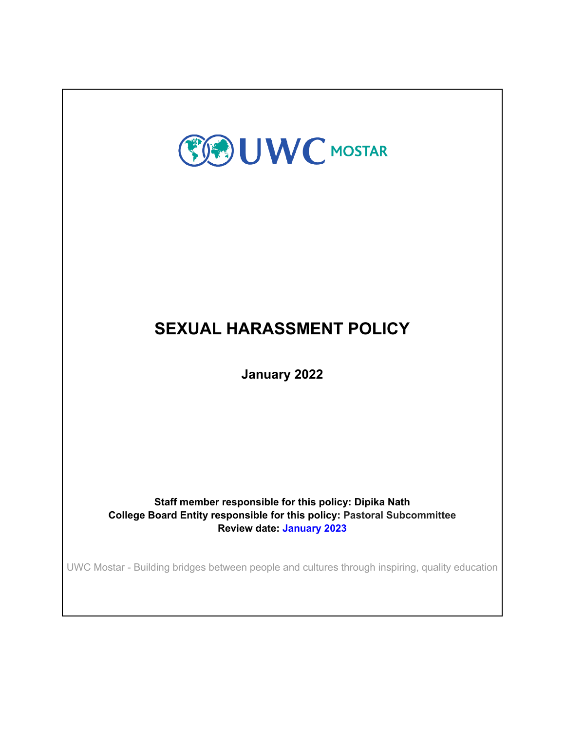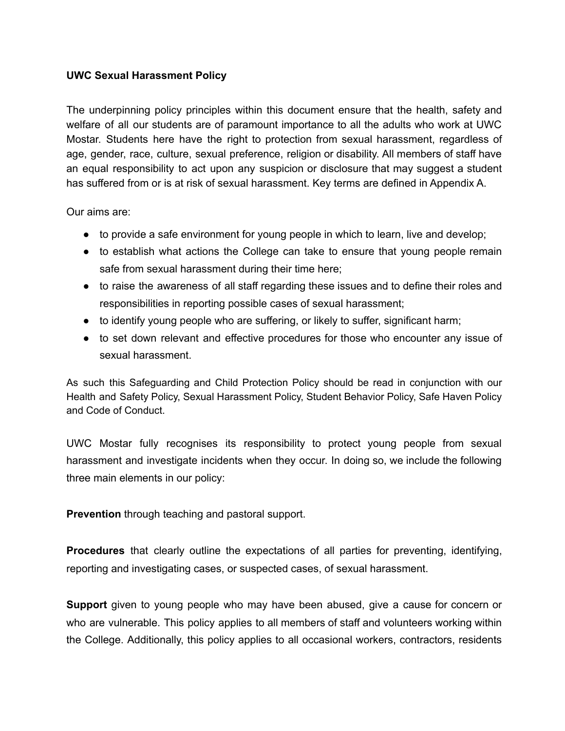## **UWC Sexual Harassment Policy**

The underpinning policy principles within this document ensure that the health, safety and welfare of all our students are of paramount importance to all the adults who work at UWC Mostar. Students here have the right to protection from sexual harassment, regardless of age, gender, race, culture, sexual preference, religion or disability. All members of staff have an equal responsibility to act upon any suspicion or disclosure that may suggest a student has suffered from or is at risk of sexual harassment. Key terms are defined in Appendix A.

Our aims are:

- to provide a safe environment for young people in which to learn, live and develop;
- to establish what actions the College can take to ensure that young people remain safe from sexual harassment during their time here;
- to raise the awareness of all staff regarding these issues and to define their roles and responsibilities in reporting possible cases of sexual harassment;
- to identify young people who are suffering, or likely to suffer, significant harm;
- to set down relevant and effective procedures for those who encounter any issue of sexual harassment.

As such this Safeguarding and Child Protection Policy should be read in conjunction with our Health and Safety Policy, Sexual Harassment Policy, Student Behavior Policy, Safe Haven Policy and Code of Conduct.

UWC Mostar fully recognises its responsibility to protect young people from sexual harassment and investigate incidents when they occur. In doing so, we include the following three main elements in our policy:

**Prevention** through teaching and pastoral support.

**Procedures** that clearly outline the expectations of all parties for preventing, identifying, reporting and investigating cases, or suspected cases, of sexual harassment.

**Support** given to young people who may have been abused, give a cause for concern or who are vulnerable. This policy applies to all members of staff and volunteers working within the College. Additionally, this policy applies to all occasional workers, contractors, residents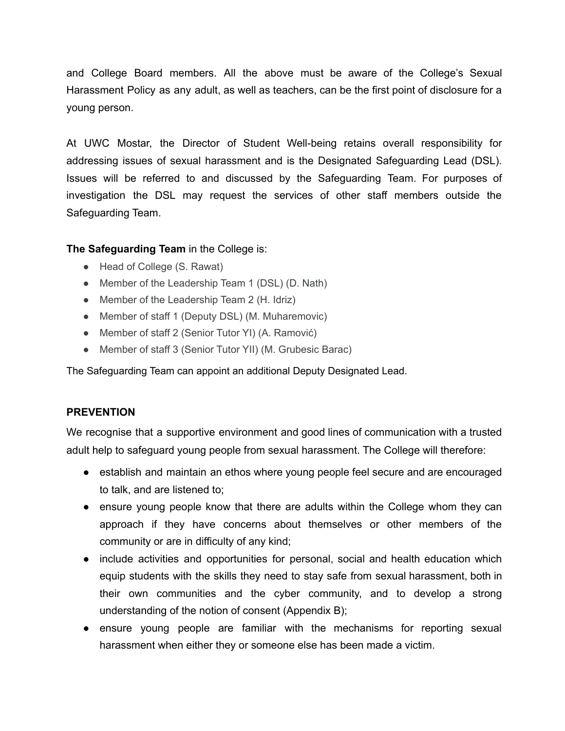and College Board members. All the above must be aware of the College's Sexual Harassment Policy as any adult, as well as teachers, can be the first point of disclosure for a young person.

At UWC Mostar, the Director of Student Well-being retains overall responsibility for addressing issues of sexual harassment and is the Designated Safeguarding Lead (DSL). Issues will be referred to and discussed by the Safeguarding Team. For purposes of investigation the DSL may request the services of other staff members outside the Safeguarding Team.

### **The Safeguarding Team** in the College is:

- Head of College (S. Rawat)
- Member of the Leadership Team 1 (DSL) (D. Nath)
- Member of the Leadership Team 2 (H. Idriz)
- Member of staff 1 (Deputy DSL) (M. Muharemovic)
- Member of staff 2 (Senior Tutor YI) (A. Ramović)
- Member of staff 3 (Senior Tutor YII) (M. Grubesic Barac)

The Safeguarding Team can appoint an additional Deputy Designated Lead.

#### **PREVENTION**

We recognise that a supportive environment and good lines of communication with a trusted adult help to safeguard young people from sexual harassment. The College will therefore:

- establish and maintain an ethos where young people feel secure and are encouraged to talk, and are listened to;
- ensure young people know that there are adults within the College whom they can approach if they have concerns about themselves or other members of the community or are in difficulty of any kind;
- include activities and opportunities for personal, social and health education which equip students with the skills they need to stay safe from sexual harassment, both in their own communities and the cyber community, and to develop a strong understanding of the notion of consent (Appendix B);
- ensure young people are familiar with the mechanisms for reporting sexual harassment when either they or someone else has been made a victim.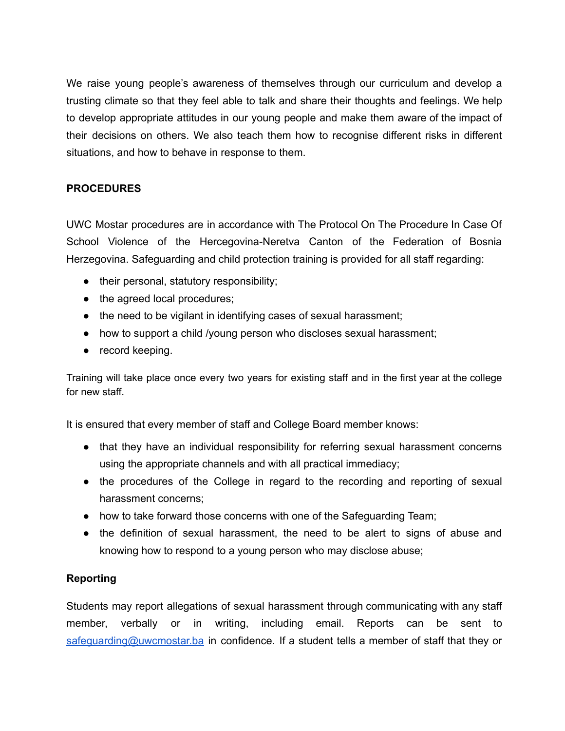We raise young people's awareness of themselves through our curriculum and develop a trusting climate so that they feel able to talk and share their thoughts and feelings. We help to develop appropriate attitudes in our young people and make them aware of the impact of their decisions on others. We also teach them how to recognise different risks in different situations, and how to behave in response to them.

## **PROCEDURES**

UWC Mostar procedures are in accordance with The Protocol On The Procedure In Case Of School Violence of the Hercegovina-Neretva Canton of the Federation of Bosnia Herzegovina. Safeguarding and child protection training is provided for all staff regarding:

- their personal, statutory responsibility;
- the agreed local procedures;
- the need to be vigilant in identifying cases of sexual harassment;
- how to support a child /young person who discloses sexual harassment;
- record keeping.

Training will take place once every two years for existing staff and in the first year at the college for new staff.

It is ensured that every member of staff and College Board member knows:

- that they have an individual responsibility for referring sexual harassment concerns using the appropriate channels and with all practical immediacy;
- the procedures of the College in regard to the recording and reporting of sexual harassment concerns;
- how to take forward those concerns with one of the Safeguarding Team;
- the definition of sexual harassment, the need to be alert to signs of abuse and knowing how to respond to a young person who may disclose abuse;

## **Reporting**

Students may report allegations of sexual harassment through communicating with any staff member, verbally or in writing, including email. Reports can be sent to [safeguarding@uwcmostar.ba](mailto:safeguarding@uwcmostar.ba) in confidence. If a student tells a member of staff that they or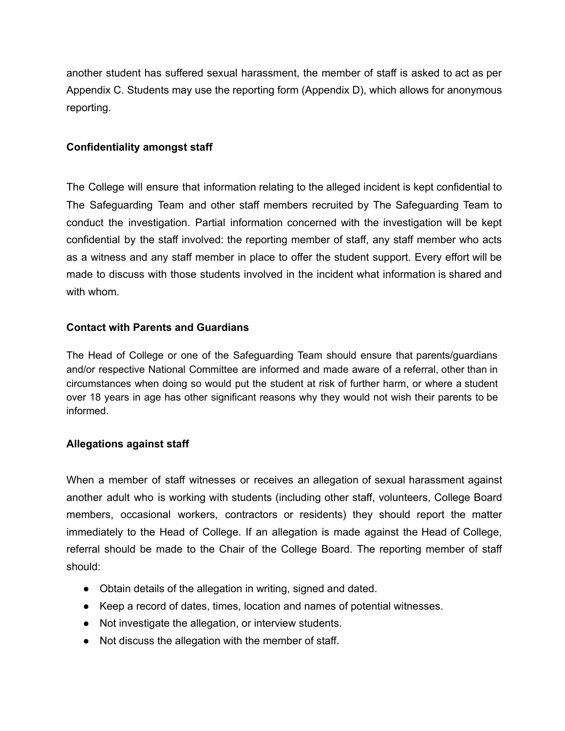another student has suffered sexual harassment, the member of staff is asked to act as per Appendix C. Students may use the reporting form (Appendix D), which allows for anonymous reporting.

## **Confidentiality amongst staff**

The College will ensure that information relating to the alleged incident is kept confidential to The Safeguarding Team and other staff members recruited by The Safeguarding Team to conduct the investigation. Partial information concerned with the investigation will be kept confidential by the staff involved: the reporting member of staff, any staff member who acts as a witness and any staff member in place to offer the student support. Every effort will be made to discuss with those students involved in the incident what information is shared and with whom.

## **Contact with Parents and Guardians**

The Head of College or one of the Safeguarding Team should ensure that parents/guardians and/or respective National Committee are informed and made aware of a referral, other than in circumstances when doing so would put the student at risk of further harm, or where a student over 18 years in age has other significant reasons why they would not wish their parents to be informed.

## **Allegations against staff**

When a member of staff witnesses or receives an allegation of sexual harassment against another adult who is working with students (including other staff, volunteers, College Board members, occasional workers, contractors or residents) they should report the matter immediately to the Head of College. If an allegation is made against the Head of College, referral should be made to the Chair of the College Board. The reporting member of staff should:

- Obtain details of the allegation in writing, signed and dated.
- Keep a record of dates, times, location and names of potential witnesses.
- Not investigate the allegation, or interview students.
- Not discuss the allegation with the member of staff.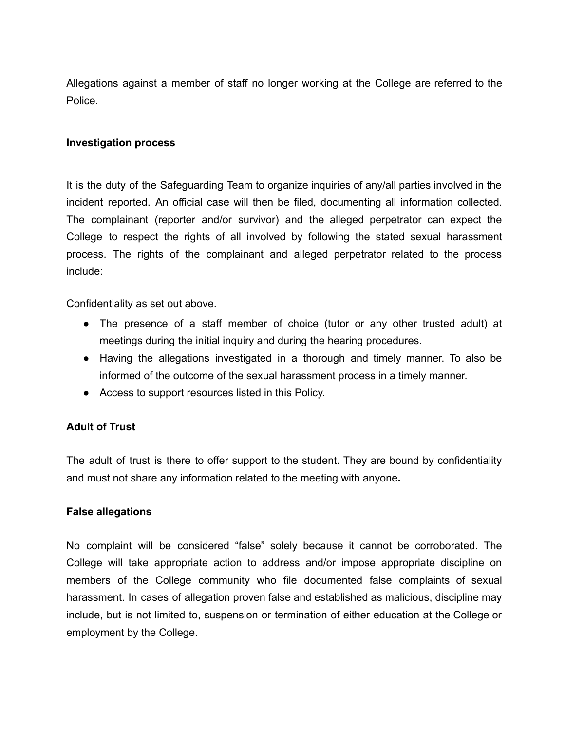Allegations against a member of staff no longer working at the College are referred to the Police.

### **Investigation process**

It is the duty of the Safeguarding Team to organize inquiries of any/all parties involved in the incident reported. An official case will then be filed, documenting all information collected. The complainant (reporter and/or survivor) and the alleged perpetrator can expect the College to respect the rights of all involved by following the stated sexual harassment process. The rights of the complainant and alleged perpetrator related to the process include:

Confidentiality as set out above.

- The presence of a staff member of choice (tutor or any other trusted adult) at meetings during the initial inquiry and during the hearing procedures.
- Having the allegations investigated in a thorough and timely manner. To also be informed of the outcome of the sexual harassment process in a timely manner.
- Access to support resources listed in this Policy.

## **Adult of Trust**

The adult of trust is there to offer support to the student. They are bound by confidentiality and must not share any information related to the meeting with anyone**.**

#### **False allegations**

No complaint will be considered "false" solely because it cannot be corroborated. The College will take appropriate action to address and/or impose appropriate discipline on members of the College community who file documented false complaints of sexual harassment. In cases of allegation proven false and established as malicious, discipline may include, but is not limited to, suspension or termination of either education at the College or employment by the College.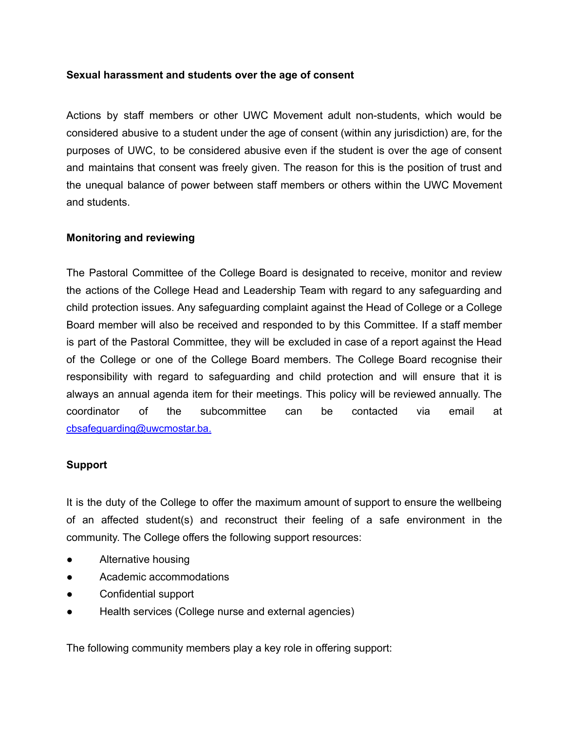### **Sexual harassment and students over the age of consent**

Actions by staff members or other UWC Movement adult non-students, which would be considered abusive to a student under the age of consent (within any jurisdiction) are, for the purposes of UWC, to be considered abusive even if the student is over the age of consent and maintains that consent was freely given. The reason for this is the position of trust and the unequal balance of power between staff members or others within the UWC Movement and students.

### **Monitoring and reviewing**

The Pastoral Committee of the College Board is designated to receive, monitor and review the actions of the College Head and Leadership Team with regard to any safeguarding and child protection issues. Any safeguarding complaint against the Head of College or a College Board member will also be received and responded to by this Committee. If a staff member is part of the Pastoral Committee, they will be excluded in case of a report against the Head of the College or one of the College Board members. The College Board recognise their responsibility with regard to safeguarding and child protection and will ensure that it is always an annual agenda item for their meetings. This policy will be reviewed annually. The coordinator of the subcommittee can be contacted via email at cbsafeguarding@uwcmostar.ba.

## **Support**

It is the duty of the College to offer the maximum amount of support to ensure the wellbeing of an affected student(s) and reconstruct their feeling of a safe environment in the community. The College offers the following support resources:

- Alternative housing
- Academic accommodations
- Confidential support
- Health services (College nurse and external agencies)

The following community members play a key role in offering support: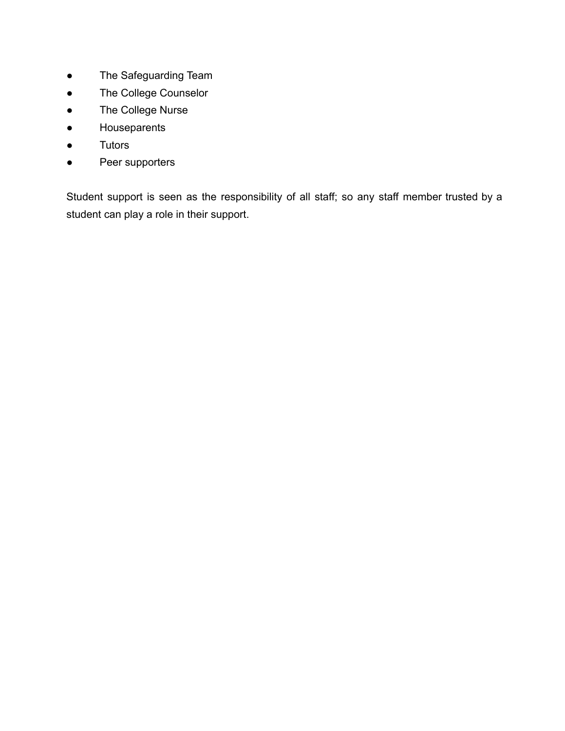- The Safeguarding Team
- The College Counselor
- The College Nurse
- Houseparents
- Tutors
- Peer supporters

Student support is seen as the responsibility of all staff; so any staff member trusted by a student can play a role in their support.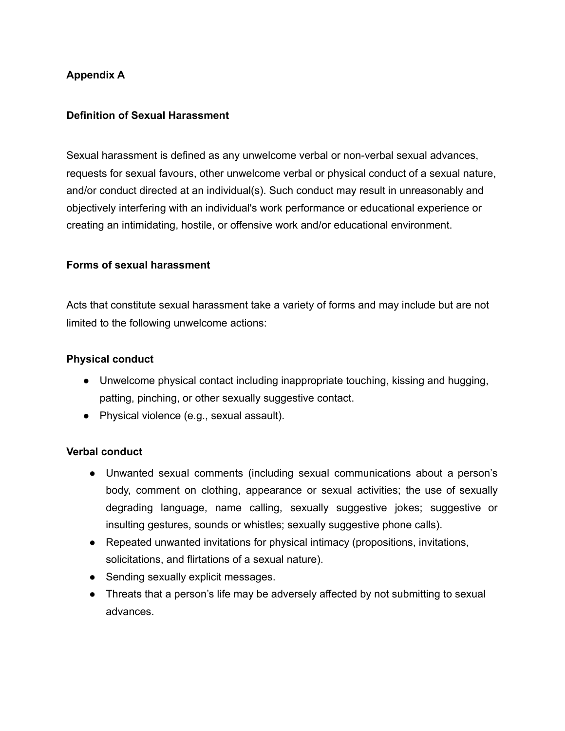## **Appendix A**

## **Definition of Sexual Harassment**

Sexual harassment is defined as any unwelcome verbal or non-verbal sexual advances, requests for sexual favours, other unwelcome verbal or physical conduct of a sexual nature, and/or conduct directed at an individual(s). Such conduct may result in unreasonably and objectively interfering with an individual's work performance or educational experience or creating an intimidating, hostile, or offensive work and/or educational environment.

#### **Forms of sexual harassment**

Acts that constitute sexual harassment take a variety of forms and may include but are not limited to the following unwelcome actions:

#### **Physical conduct**

- Unwelcome physical contact including inappropriate touching, kissing and hugging, patting, pinching, or other sexually suggestive contact.
- Physical violence (e.g., sexual assault).

#### **Verbal conduct**

- Unwanted sexual comments (including sexual communications about a person's body, comment on clothing, appearance or sexual activities; the use of sexually degrading language, name calling, sexually suggestive jokes; suggestive or insulting gestures, sounds or whistles; sexually suggestive phone calls).
- Repeated unwanted invitations for physical intimacy (propositions, invitations, solicitations, and flirtations of a sexual nature).
- Sending sexually explicit messages.
- Threats that a person's life may be adversely affected by not submitting to sexual advances.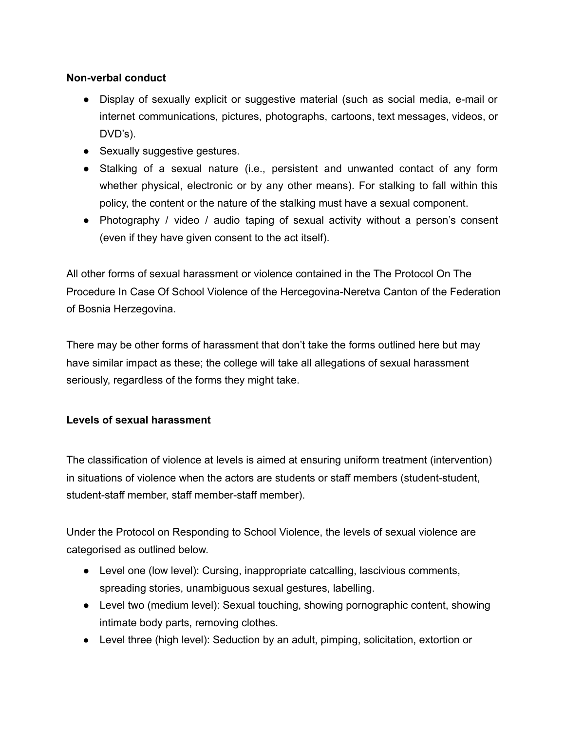## **Non-verbal conduct**

- Display of sexually explicit or suggestive material (such as social media, e-mail or internet communications, pictures, photographs, cartoons, text messages, videos, or DVD's).
- Sexually suggestive gestures.
- Stalking of a sexual nature (i.e., persistent and unwanted contact of any form whether physical, electronic or by any other means). For stalking to fall within this policy, the content or the nature of the stalking must have a sexual component.
- Photography / video / audio taping of sexual activity without a person's consent (even if they have given consent to the act itself).

All other forms of sexual harassment or violence contained in the The Protocol On The Procedure In Case Of School Violence of the Hercegovina-Neretva Canton of the Federation of Bosnia Herzegovina.

There may be other forms of harassment that don't take the forms outlined here but may have similar impact as these; the college will take all allegations of sexual harassment seriously, regardless of the forms they might take.

# **Levels of sexual harassment**

The classification of violence at levels is aimed at ensuring uniform treatment (intervention) in situations of violence when the actors are students or staff members (student-student, student-staff member, staff member-staff member).

Under the Protocol on Responding to School Violence, the levels of sexual violence are categorised as outlined below.

- Level one (low level): Cursing, inappropriate catcalling, lascivious comments, spreading stories, unambiguous sexual gestures, labelling.
- Level two (medium level): Sexual touching, showing pornographic content, showing intimate body parts, removing clothes.
- Level three (high level): Seduction by an adult, pimping, solicitation, extortion or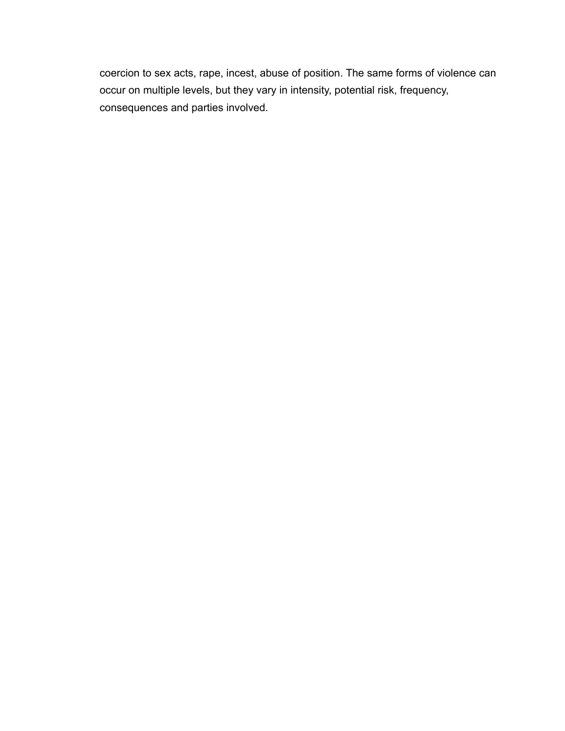coercion to sex acts, rape, incest, abuse of position. The same forms of violence can occur on multiple levels, but they vary in intensity, potential risk, frequency, consequences and parties involved.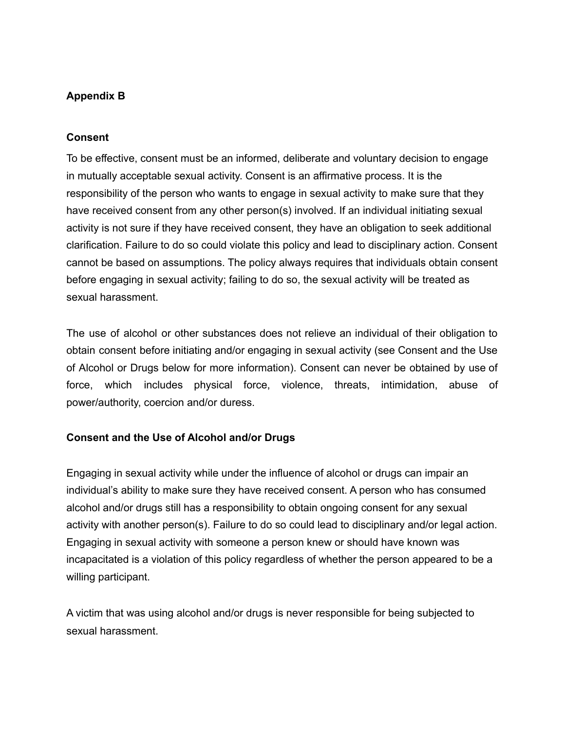## **Appendix B**

### **Consent**

To be effective, consent must be an informed, deliberate and voluntary decision to engage in mutually acceptable sexual activity. Consent is an affirmative process. It is the responsibility of the person who wants to engage in sexual activity to make sure that they have received consent from any other person(s) involved. If an individual initiating sexual activity is not sure if they have received consent, they have an obligation to seek additional clarification. Failure to do so could violate this policy and lead to disciplinary action. Consent cannot be based on assumptions. The policy always requires that individuals obtain consent before engaging in sexual activity; failing to do so, the sexual activity will be treated as sexual harassment.

The use of alcohol or other substances does not relieve an individual of their obligation to obtain consent before initiating and/or engaging in sexual activity (see Consent and the Use of Alcohol or Drugs below for more information). Consent can never be obtained by use of force, which includes physical force, violence, threats, intimidation, abuse of power/authority, coercion and/or duress.

## **Consent and the Use of Alcohol and/or Drugs**

Engaging in sexual activity while under the influence of alcohol or drugs can impair an individual's ability to make sure they have received consent. A person who has consumed alcohol and/or drugs still has a responsibility to obtain ongoing consent for any sexual activity with another person(s). Failure to do so could lead to disciplinary and/or legal action. Engaging in sexual activity with someone a person knew or should have known was incapacitated is a violation of this policy regardless of whether the person appeared to be a willing participant.

A victim that was using alcohol and/or drugs is never responsible for being subjected to sexual harassment.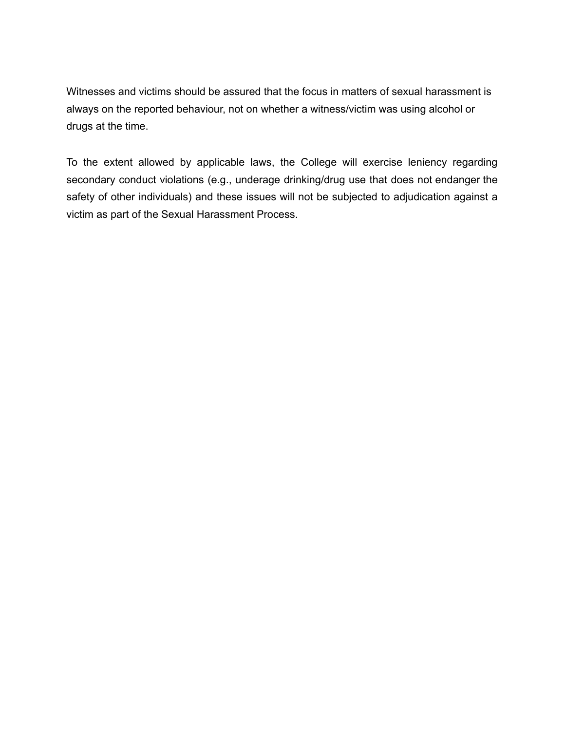Witnesses and victims should be assured that the focus in matters of sexual harassment is always on the reported behaviour, not on whether a witness/victim was using alcohol or drugs at the time.

To the extent allowed by applicable laws, the College will exercise leniency regarding secondary conduct violations (e.g., underage drinking/drug use that does not endanger the safety of other individuals) and these issues will not be subjected to adjudication against a victim as part of the Sexual Harassment Process.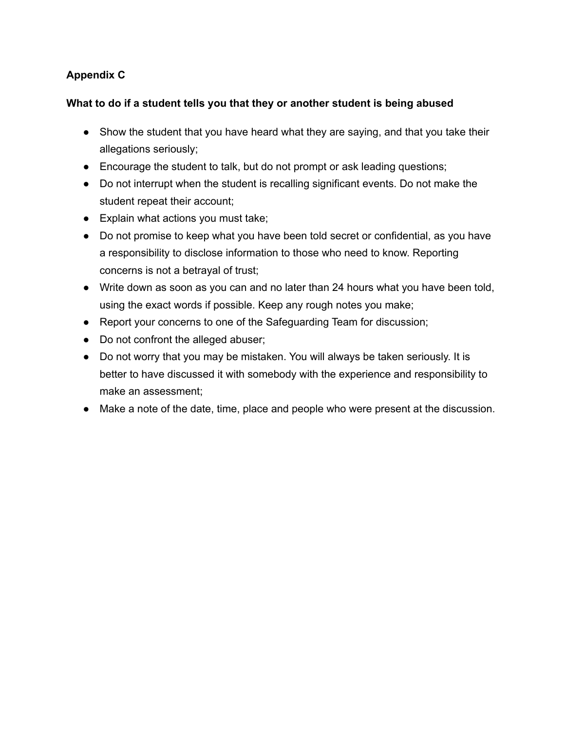# **Appendix C**

## **What to do if a student tells you that they or another student is being abused**

- Show the student that you have heard what they are saying, and that you take their allegations seriously;
- Encourage the student to talk, but do not prompt or ask leading questions;
- Do not interrupt when the student is recalling significant events. Do not make the student repeat their account;
- Explain what actions you must take;
- Do not promise to keep what you have been told secret or confidential, as you have a responsibility to disclose information to those who need to know. Reporting concerns is not a betrayal of trust;
- Write down as soon as you can and no later than 24 hours what you have been told, using the exact words if possible. Keep any rough notes you make;
- Report your concerns to one of the Safeguarding Team for discussion;
- Do not confront the alleged abuser;
- Do not worry that you may be mistaken. You will always be taken seriously. It is better to have discussed it with somebody with the experience and responsibility to make an assessment;
- Make a note of the date, time, place and people who were present at the discussion.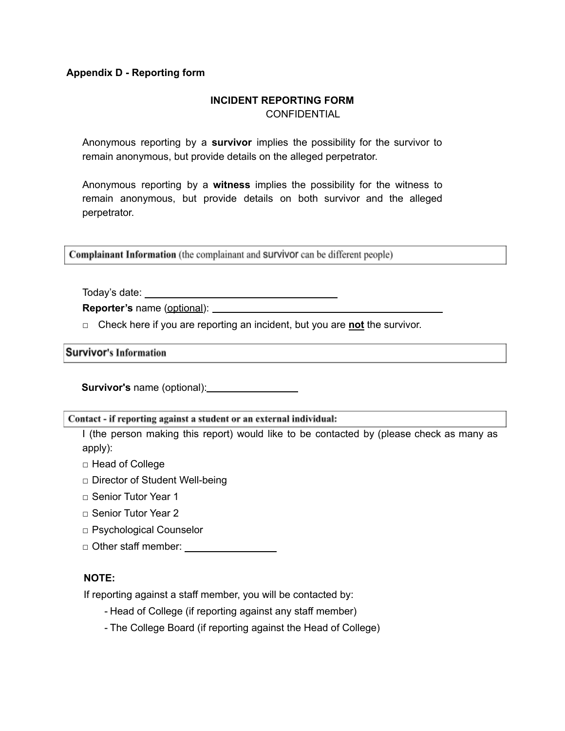#### **Appendix D - Reporting form**

#### **INCIDENT REPORTING FORM CONFIDENTIAL**

Anonymous reporting by a **survivor** implies the possibility for the survivor to remain anonymous, but provide details on the alleged perpetrator.

Anonymous reporting by a **witness** implies the possibility for the witness to remain anonymous, but provide details on both survivor and the alleged perpetrator.

Complainant Information (the complainant and survivor can be different people)

Today's date:

**Reporter's** name (optional):

□ Check here if you are reporting an incident, but you are **not** the survivor.

<u> 1989 - Johann Barbara, martxa a</u>

#### **Survivor's Information**

**Survivor's** name (optional):

Contact - if reporting against a student or an external individual:

I (the person making this report) would like to be contacted by (please check as many as apply):

- □ Head of College
- □ Director of Student Well-being
- □ Senior Tutor Year 1
- □ Senior Tutor Year 2
- □ Psychological Counselor
- □ Other staff member:

#### **NOTE:**

If reporting against a staff member, you will be contacted by:

- Head of College (if reporting against any staff member)
- The College Board (if reporting against the Head of College)